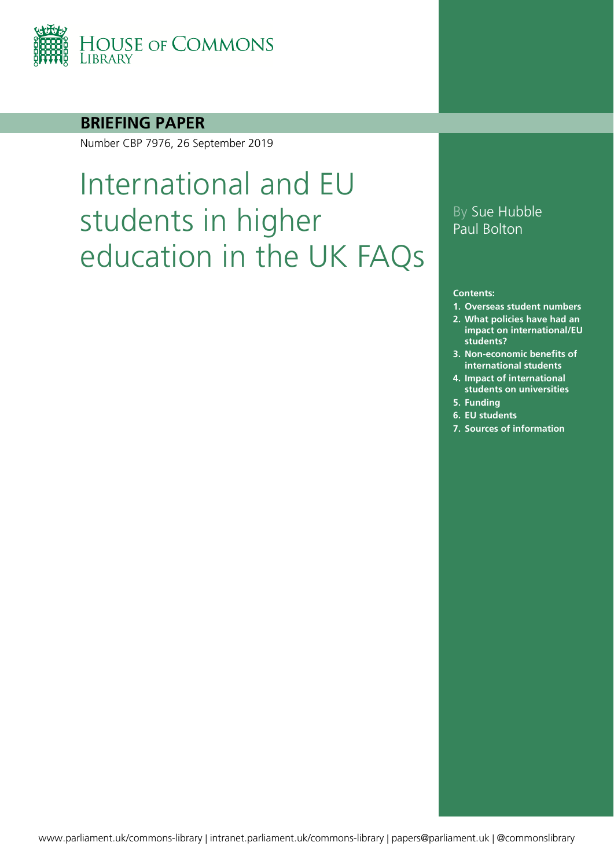

#### **BRIEFING PAPER**

Number CBP 7976, 26 September 2019

# International and EU students in higher education in the UK FAQs

### By Sue Hubble Paul Bolton

#### **Contents:**

- **1. [Overseas student numbers](#page-4-0)**
- **2. [What policies have had an](#page-7-0)  [impact on international/EU](#page-7-0)  [students?](#page-7-0)**
- **3. [Non-economic benefits of](#page-11-0)  [international students](#page-11-0)**
- **4. [Impact of international](#page-12-0)  [students on universities](#page-12-0)**
- **5. [Funding](#page-13-0)**
- **6. [EU students](#page-14-0)**
- **7. [Sources of information](#page-20-0)**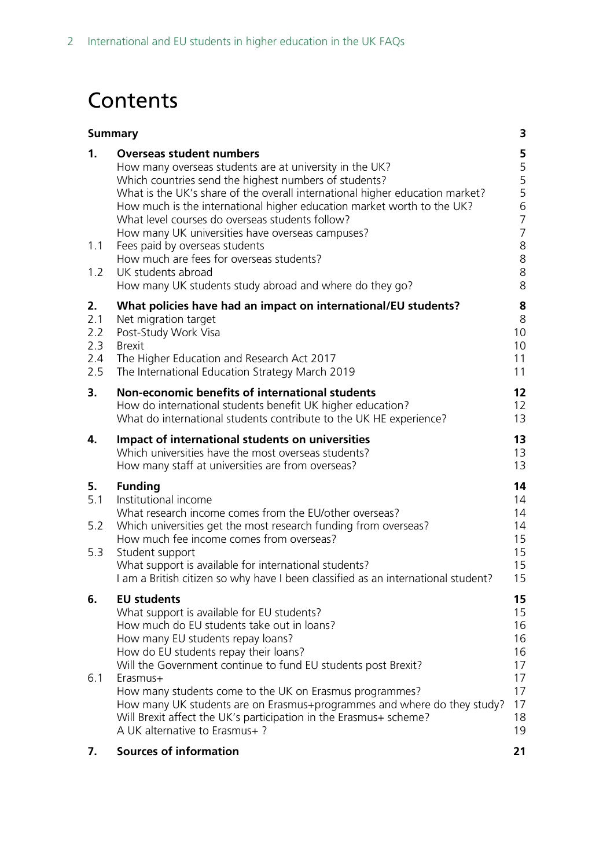# **Contents**

| <b>Summary</b>                        |                                                                                                                                                                                                                                                                                                                                                                                                                                                                                                                                                                                     | 3                                                                             |
|---------------------------------------|-------------------------------------------------------------------------------------------------------------------------------------------------------------------------------------------------------------------------------------------------------------------------------------------------------------------------------------------------------------------------------------------------------------------------------------------------------------------------------------------------------------------------------------------------------------------------------------|-------------------------------------------------------------------------------|
| 1.<br>1.1<br>1.2                      | <b>Overseas student numbers</b><br>How many overseas students are at university in the UK?<br>Which countries send the highest numbers of students?<br>What is the UK's share of the overall international higher education market?<br>How much is the international higher education market worth to the UK?<br>What level courses do overseas students follow?<br>How many UK universities have overseas campuses?<br>Fees paid by overseas students<br>How much are fees for overseas students?<br>UK students abroad<br>How many UK students study abroad and where do they go? | 5<br>5<br>5<br>5<br>6<br>$\overline{7}$<br>$\overline{7}$<br>8<br>8<br>8<br>8 |
| 2.<br>2.1<br>2.2<br>2.3<br>2.4<br>2.5 | What policies have had an impact on international/EU students?<br>Net migration target<br>Post-Study Work Visa<br><b>Brexit</b><br>The Higher Education and Research Act 2017<br>The International Education Strategy March 2019                                                                                                                                                                                                                                                                                                                                                    | 8<br>8<br>10<br>10<br>11<br>11                                                |
| 3.                                    | Non-economic benefits of international students<br>How do international students benefit UK higher education?<br>What do international students contribute to the UK HE experience?                                                                                                                                                                                                                                                                                                                                                                                                 | 12<br>12<br>13                                                                |
| 4.                                    | Impact of international students on universities<br>Which universities have the most overseas students?<br>How many staff at universities are from overseas?                                                                                                                                                                                                                                                                                                                                                                                                                        | 13<br>13<br>13                                                                |
| 5.<br>5.1<br>5.2<br>5.3               | <b>Funding</b><br>Institutional income<br>What research income comes from the EU/other overseas?<br>Which universities get the most research funding from overseas?<br>How much fee income comes from overseas?<br>Student support<br>What support is available for international students?<br>I am a British citizen so why have I been classified as an international student?                                                                                                                                                                                                    | 14<br>14<br>14<br>14<br>15<br>15<br>15<br>15                                  |
| 6.                                    | <b>EU students</b><br>What support is available for EU students?<br>How much do EU students take out in loans?<br>How many EU students repay loans?<br>How do EU students repay their loans?<br>Will the Government continue to fund EU students post Brexit?                                                                                                                                                                                                                                                                                                                       | 15<br>15<br>16<br>16<br>16<br>17                                              |
| 6.1                                   | Erasmus+<br>How many students come to the UK on Erasmus programmes?<br>How many UK students are on Erasmus+programmes and where do they study?<br>Will Brexit affect the UK's participation in the Erasmus+ scheme?<br>A UK alternative to Erasmus+ ?                                                                                                                                                                                                                                                                                                                               | 17<br>17<br>17<br>18<br>19                                                    |
| 7.                                    | <b>Sources of information</b>                                                                                                                                                                                                                                                                                                                                                                                                                                                                                                                                                       | 21                                                                            |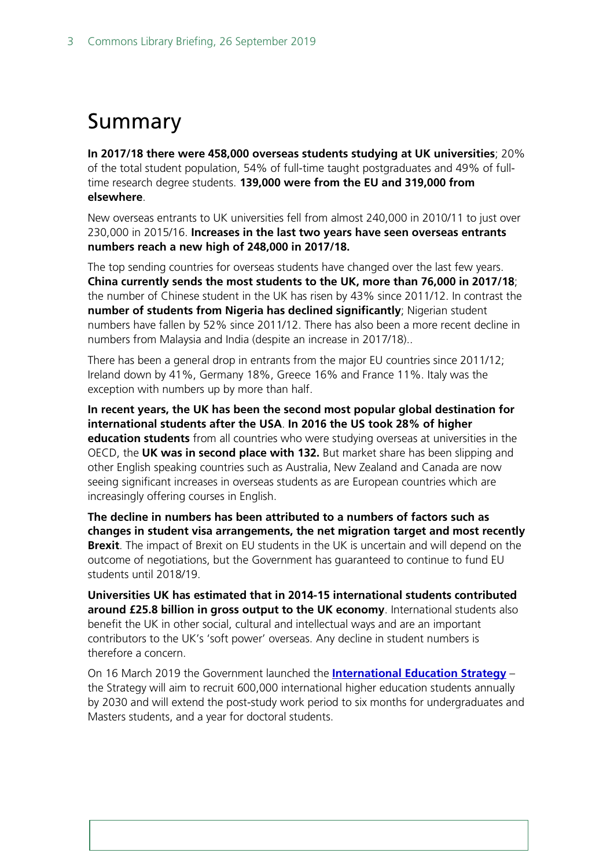# <span id="page-2-0"></span>Summary

**In 2017/18 there were 458,000 overseas students studying at UK universities**; 20% of the total student population, 54% of full-time taught postgraduates and 49% of fulltime research degree students. **139,000 were from the EU and 319,000 from elsewhere**.

New overseas entrants to UK universities fell from almost 240,000 in 2010/11 to just over 230,000 in 2015/16. **Increases in the last two years have seen overseas entrants numbers reach a new high of 248,000 in 2017/18.**

The top sending countries for overseas students have changed over the last few years. **China currently sends the most students to the UK, more than 76,000 in 2017/18**; the number of Chinese student in the UK has risen by 43% since 2011/12. In contrast the **number of students from Nigeria has declined significantly**; Nigerian student numbers have fallen by 52% since 2011/12. There has also been a more recent decline in numbers from Malaysia and India (despite an increase in 2017/18)..

There has been a general drop in entrants from the major EU countries since 2011/12; Ireland down by 41%, Germany 18%, Greece 16% and France 11%. Italy was the exception with numbers up by more than half.

**In recent years, the UK has been the second most popular global destination for international students after the USA**. **In 2016 the US took 28% of higher education students** from all countries who were studying overseas at universities in the OECD, the **UK was in second place with 132.** But market share has been slipping and other English speaking countries such as Australia, New Zealand and Canada are now seeing significant increases in overseas students as are European countries which are increasingly offering courses in English.

**The decline in numbers has been attributed to a numbers of factors such as changes in student visa arrangements, the net migration target and most recently Brexit**. The impact of Brexit on EU students in the UK is uncertain and will depend on the outcome of negotiations, but the Government has guaranteed to continue to fund EU students until 2018/19.

**Universities UK has estimated that in 2014-15 international students contributed around £25.8 billion in gross output to the UK economy**. International students also benefit the UK in other social, cultural and intellectual ways and are an important contributors to the UK's 'soft power' overseas. Any decline in student numbers is therefore a concern.

On 16 March 2019 the Government launched the **[International Education Strategy](https://www.gov.uk/government/publications/international-education-strategy-global-potential-global-growth/international-education-strategy-global-potential-global-growth)** – the Strategy will aim to recruit 600,000 international higher education students annually by 2030 and will extend the post-study work period to six months for undergraduates and Masters students, and a year for doctoral students.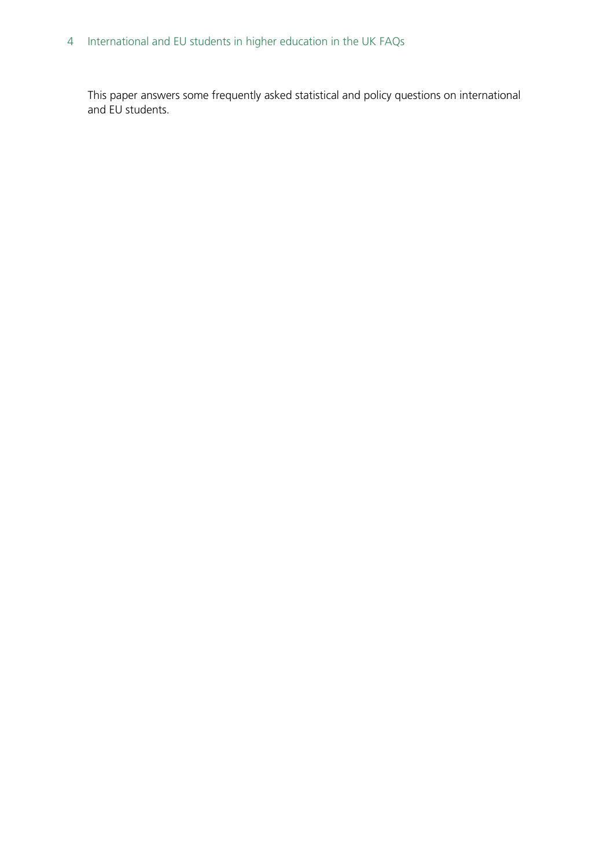### 4 International and EU students in higher education in the UK FAQs

This paper answers some frequently asked statistical and policy questions on international and EU students.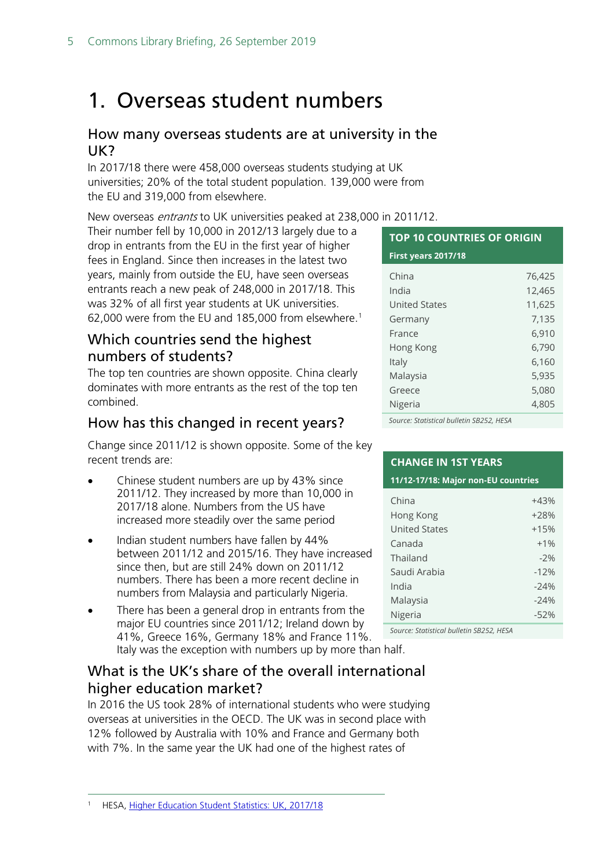# <span id="page-4-0"></span>1. Overseas student numbers

#### <span id="page-4-1"></span>How many overseas students are at university in the UK?

In 2017/18 there were 458,000 overseas students studying at UK universities; 20% of the total student population. 139,000 were from the EU and 319,000 from elsewhere.

New overseas *entrants* to UK universities peaked at 238,000 in 2011/12.

Their number fell by 10,000 in 2012/13 largely due to a drop in entrants from the EU in the first year of higher fees in England. Since then increases in the latest two years, mainly from outside the EU, have seen overseas entrants reach a new peak of 248,000 in 2017/18. This was 32% of all first year students at UK universities. 62,000 were from the EU and 185,000 from elsewhere. [1](#page-4-4)

### <span id="page-4-2"></span>Which countries send the highest numbers of students?

The top ten countries are shown opposite. China clearly dominates with more entrants as the rest of the top ten combined.

## How has this changed in recent years?

Change since 2011/12 is shown opposite. Some of the key recent trends are:

- Chinese student numbers are up by 43% since 2011/12. They increased by more than 10,000 in 2017/18 alone. Numbers from the US have increased more steadily over the same period
- Indian student numbers have fallen by 44% between 2011/12 and 2015/16. They have increased since then, but are still 24% down on 2011/12 numbers. There has been a more recent decline in numbers from Malaysia and particularly Nigeria.
- There has been a general drop in entrants from the major EU countries since 2011/12; Ireland down by 41%, Greece 16%, Germany 18% and France 11%. Italy was the exception with numbers up by more than half.

## <span id="page-4-3"></span>What is the UK's share of the overall international higher education market?

In 2016 the US took 28% of international students who were studying overseas at universities in the OECD. The UK was in second place with 12% followed by Australia with 10% and France and Germany both with 7%. In the same year the UK had one of the highest rates of

#### **TOP 10 COUNTRIES OF ORIGIN** China 76,425 India 12,465 United States 11,625 Germany 7,135 France 6,910 Hong Kong 6,790 Italy 6,160 Malaysia 5,935 Greece 5,080 Nigeria 4,805 **First years 2017/18**

*Source: Statistical bulletin SB252, HESA*

## **CHANGE IN 1ST YEARS**

| 11/12-17/18: Major non-EU countries |        |
|-------------------------------------|--------|
| China                               | $+43%$ |
| Hong Kong                           | $+28%$ |
| <b>United States</b>                | $+15%$ |
| Canada                              | $+1%$  |
| Thailand                            | $-2%$  |
| Saudi Arabia                        | $-12%$ |
| India                               | $-24%$ |
| Malaysia                            | $-24%$ |
| Nigeria                             | $-52%$ |
|                                     |        |

*Source: Statistical bulletin SB252, HESA*

<span id="page-4-4"></span>HESA, [Higher Education Student Statistics: UK, 2017/18](https://www.hesa.ac.uk/news/17-01-2019/sb252-higher-education-student-statistics)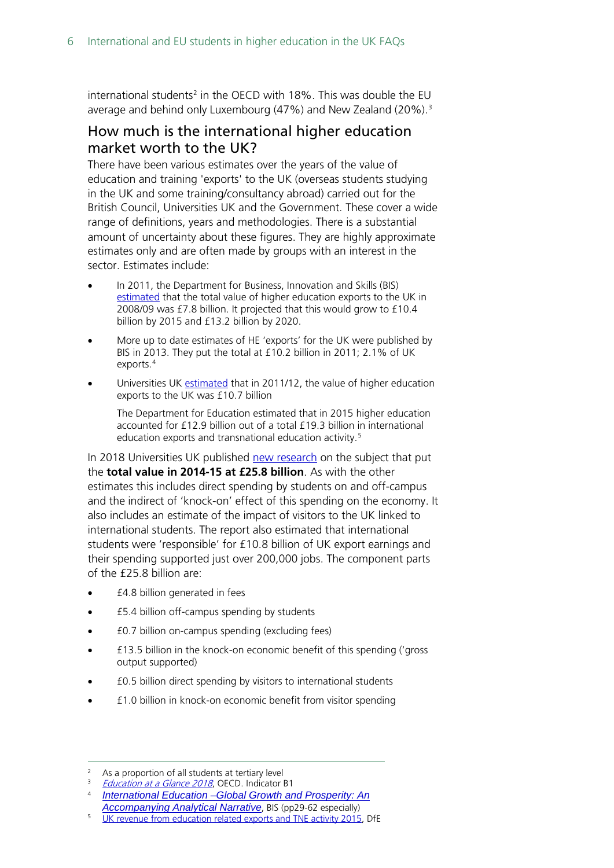international students<sup>[2](#page-5-1)</sup> in the OECD with 18%. This was double the EU average and behind only Luxembourg (47%) and New Zealand (20%).<sup>[3](#page-5-2)</sup>

#### <span id="page-5-0"></span>How much is the international higher education market worth to the UK?

There have been various estimates over the years of the value of education and training 'exports' to the UK (overseas students studying in the UK and some training/consultancy abroad) carried out for the British Council, Universities UK and the Government. These cover a wide range of definitions, years and methodologies. There is a substantial amount of uncertainty about these figures. They are highly approximate estimates only and are often made by groups with an interest in the sector. Estimates include:

- In 2011, the Department for Business, Innovation and Skills (BIS) [estimated](http://www.bis.gov.uk/assets/biscore/higher-education/docs/e/11-980-estimating-value-of-education-exports.pdf) that the total value of higher education exports to the UK in 2008/09 was £7.8 billion. It projected that this would grow to £10.4 billion by 2015 and £13.2 billion by 2020.
- More up to date estimates of HE 'exports' for the UK were published by BIS in 2013. They put the total at £10.2 billion in 2011; 2.1% of UK exports.[4](#page-5-3)
- Universities UK [estimated](http://www.universitiesuk.ac.uk/policy-and-analysis/reports/Documents/2014/the-impact-of-universities-on-the-uk-economy.pdf) that in 2011/12, the value of higher education exports to the UK was £10.7 billion

The Department for Education estimated that in 2015 higher education accounted for £12.9 billion out of a total £19.3 billion in international education exports and transnational education activity.[5](#page-5-4)

In 2018 Universities UK published [new research](http://www.universitiesuk.ac.uk/news/Pages/International-students-now-worth-25-billion-to-UK-economy---new-research.aspx) on the subject that put the **total value in 2014-15 at £25.8 billion**. As with the other estimates this includes direct spending by students on and off-campus and the indirect of 'knock-on' effect of this spending on the economy. It also includes an estimate of the impact of visitors to the UK linked to international students. The report also estimated that international students were 'responsible' for £10.8 billion of UK export earnings and their spending supported just over 200,000 jobs. The component parts of the £25.8 billion are:

- £4.8 billion generated in fees
- £5.4 billion off-campus spending by students
- £0.7 billion on-campus spending (excluding fees)
- £13.5 billion in the knock-on economic benefit of this spending ('gross output supported)
- £0.5 billion direct spending by visitors to international students
- £1.0 billion in knock-on economic benefit from visitor spending

<span id="page-5-1"></span><sup>&</sup>lt;sup>2</sup> As a proportion of all students at tertiary level  $\frac{3}{2}$  *Education at a Glance 2018* OECD, Indicator I

[Education at a Glance 2018](http://www.oecd.org/education/education-at-a-glance/), OECD. Indicator B1

<span id="page-5-3"></span><span id="page-5-2"></span><sup>4</sup> *[International Education –Global Growth and Prosperity: An](https://www.gov.uk/government/uploads/system/uploads/attachment_data/file/340601/bis-13-1082-international-education-accompanying-analytical-narrative-revised.pdf#page=61)  [Accompanying Analytical Narrative](https://www.gov.uk/government/uploads/system/uploads/attachment_data/file/340601/bis-13-1082-international-education-accompanying-analytical-narrative-revised.pdf#page=61)*, BIS (pp29-62 especially)

<span id="page-5-4"></span><sup>&</sup>lt;sup>5</sup> [UK revenue from education related exports and TNE activity 2015,](https://www.gov.uk/government/statistics/uk-revenue-from-education-related-exports-and-tne-activity-2015) DfE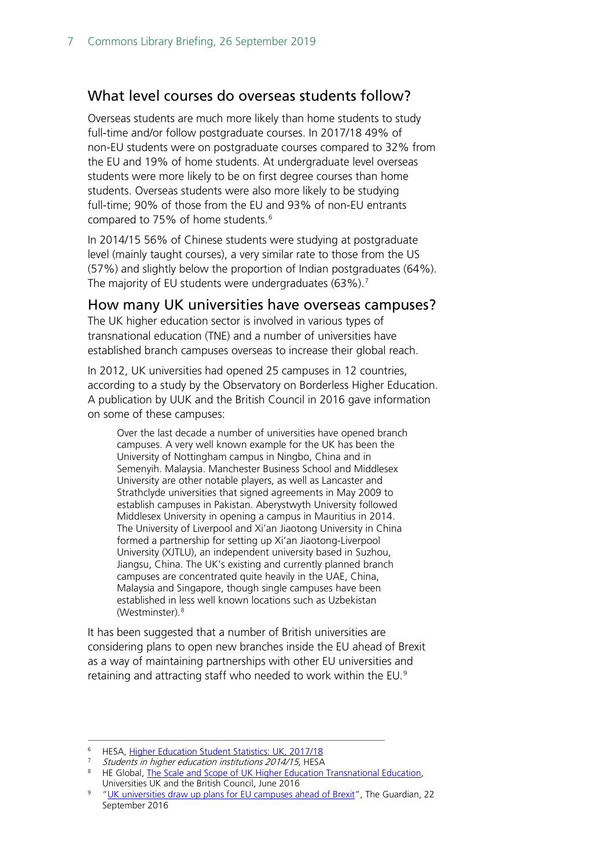#### <span id="page-6-0"></span>What level courses do overseas students follow?

Overseas students are much more likely than home students to study full-time and/or follow postgraduate courses. In 2017/18 49% of non-EU students were on postgraduate courses compared to 32% from the EU and 19% of home students. At undergraduate level overseas students were more likely to be on first degree courses than home students. Overseas students were also more likely to be studying full-time; 90% of those from the EU and 93% of non-EU entrants compared to 75% of home students.<sup>[6](#page-6-2)</sup>

In 2014/15 56% of Chinese students were studying at postgraduate level (mainly taught courses), a very similar rate to those from the US (57%) and slightly below the proportion of Indian postgraduates (64%). The majority of EU students were undergraduates (63%).<sup>[7](#page-6-3)</sup>

#### <span id="page-6-1"></span>How many UK universities have overseas campuses?

The UK higher education sector is involved in various types of transnational education (TNE) and a number of universities have established branch campuses overseas to increase their global reach.

In 2012, UK universities had opened 25 campuses in 12 countries, according to a study by the Observatory on Borderless Higher Education. A publication by UUK and the British Council in 2016 gave information on some of these campuses:

Over the last decade a number of universities have opened branch campuses. A very well known example for the UK has been the University of Nottingham campus in Ningbo, China and in Semenyih. Malaysia. Manchester Business School and Middlesex University are other notable players, as well as Lancaster and Strathclyde universities that signed agreements in May 2009 to establish campuses in Pakistan. Aberystwyth University followed Middlesex University in opening a campus in Mauritius in 2014. The University of Liverpool and Xi'an Jiaotong University in China formed a partnership for setting up Xi'an Jiaotong-Liverpool University (XJTLU), an independent university based in Suzhou, Jiangsu, China. The UK's existing and currently planned branch campuses are concentrated quite heavily in the UAE, China, Malaysia and Singapore, though single campuses have been established in less well known locations such as Uzbekistan (Westminster).[8](#page-6-4)

It has been suggested that a number of British universities are considering plans to open new branches inside the EU ahead of Brexit as a way of maintaining partnerships with other EU universities and retaining and attracting staff who needed to work within the EU.<sup>[9](#page-6-5)</sup>

<span id="page-6-2"></span><sup>&</sup>lt;sup>6</sup> HESA, [Higher Education Student Statistics: UK, 2017/18](https://www.hesa.ac.uk/news/17-01-2019/sb252-higher-education-student-statistics)

<sup>&</sup>lt;sup>7</sup> Students in higher education institutions 2014/15, HESA

<span id="page-6-4"></span><span id="page-6-3"></span><sup>&</sup>lt;sup>8</sup> HE Global, The Scale and Scope of UK Higher Education Transnational Education, Universities UK and the British Council, June 2016

<span id="page-6-5"></span><sup>&</sup>lt;sup>9</sup> ["UK universities draw up plans for EU campuses ahead of Brexit"](https://www.theguardian.com/education/2016/sep/22/uk-universities-mull-eu-campuses-in-new-era-of-uncertainty), The Guardian, 22 September 2016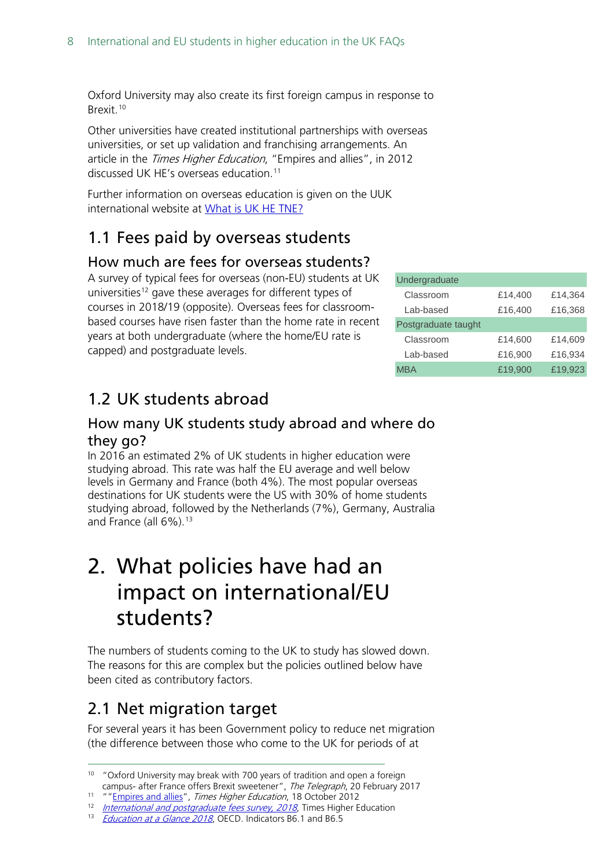Oxford University may also create its first foreign campus in response to Brexit.[10](#page-7-6)

Other universities have created institutional partnerships with overseas universities, or set up validation and franchising arrangements. An article in the *Times Higher Education*, "Empires and allies", in 2012 discussed UK HE's overseas education.<sup>[11](#page-7-7)</sup>

Further information on overseas education is given on the UUK international website at [What is UK HE TNE?](http://www.universitiesuk.ac.uk/International/heglobal/Pages/what-is-transnational-education.aspx)

## <span id="page-7-1"></span>1.1 Fees paid by overseas students

#### <span id="page-7-2"></span>How much are fees for overseas students?

A survey of typical fees for overseas (non-EU) students at UK universities<sup>[12](#page-7-8)</sup> gave these averages for different types of courses in 2018/19 (opposite). Overseas fees for classroombased courses have risen faster than the home rate in recent years at both undergraduate (where the home/EU rate is capped) and postgraduate levels.

| Undergraduate       |         |         |  |  |  |  |
|---------------------|---------|---------|--|--|--|--|
| Classroom           | £14,400 | £14,364 |  |  |  |  |
| Lab-based           | £16,400 | £16,368 |  |  |  |  |
| Postgraduate taught |         |         |  |  |  |  |
| Classroom           | £14,600 | £14,609 |  |  |  |  |
| Lab-based           | £16,900 | £16,934 |  |  |  |  |
| <b>MBA</b>          | £19,900 | £19,923 |  |  |  |  |

# <span id="page-7-3"></span>1.2 UK students abroad

### <span id="page-7-4"></span>How many UK students study abroad and where do they go?

In 2016 an estimated 2% of UK students in higher education were studying abroad. This rate was half the EU average and well below levels in Germany and France (both 4%). The most popular overseas destinations for UK students were the US with 30% of home students studying abroad, followed by the Netherlands (7%), Germany, Australia and France (all 6%). [13](#page-7-9)

# <span id="page-7-0"></span>2. What policies have had an impact on international/EU students?

The numbers of students coming to the UK to study has slowed down. The reasons for this are complex but the policies outlined below have been cited as contributory factors.

# <span id="page-7-5"></span>2.1 Net migration target

For several years it has been Government policy to reduce net migration (the difference between those who come to the UK for periods of at

<span id="page-7-6"></span> <sup>10</sup> "Oxford University may break with 700 years of tradition and open a foreign campus- after France offers Brexit sweetener", The Telegraph, 20 February 2017

<span id="page-7-7"></span><sup>&</sup>lt;sup>11</sup> "["Empires and allies"](https://www.timeshighereducation.com/features/empires-and-allies/421485.article), Times Higher Education, 18 October 2012

<span id="page-7-9"></span><span id="page-7-8"></span><sup>&</sup>lt;sup>12</sup> International and postgraduate fees survey[,](https://www.timeshighereducation.com/news/international-and-postgraduate-fees-survey-2018) 2018, Times Higher Education 13 [Education at a Glance 2018](http://www.oecd.org/education/education-at-a-glance/), OECD. Indicators B6.1 and B6.5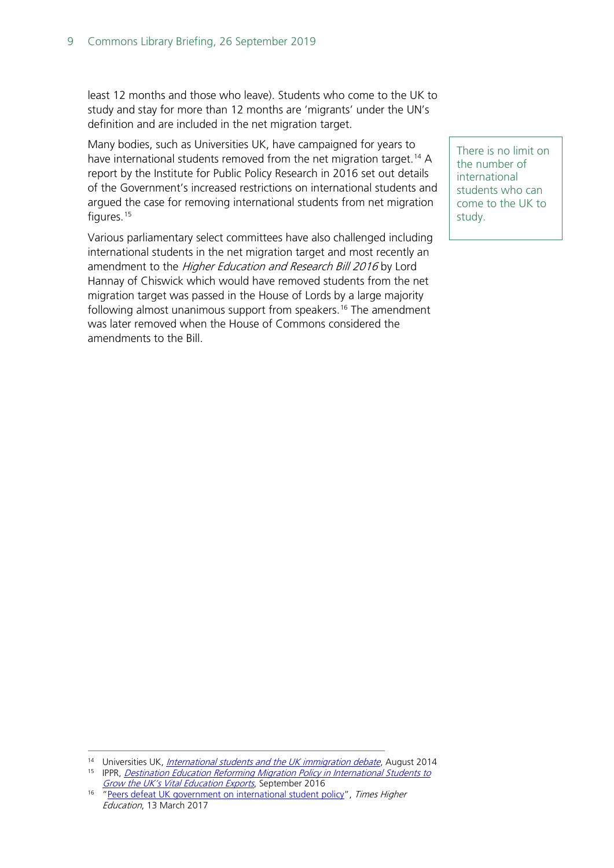least 12 months and those who leave). Students who come to the UK to study and stay for more than 12 months are 'migrants' under the UN's definition and are included in the net migration target.

Many bodies, such as Universities UK, have campaigned for years to have international students removed from the net migration target. [14](#page-8-0) A report by the Institute for Public Policy Research in 2016 set out details of the Government's increased restrictions on international students and argued the case for removing international students from net migration figures.<sup>[15](#page-8-1)</sup>

Various parliamentary select committees have also challenged including international students in the net migration target and most recently an amendment to the *Higher Education and Research Bill 2016* by Lord Hannay of Chiswick which would have removed students from the net migration target was passed in the House of Lords by a large majority following almost unanimous support from speakers. [16](#page-8-2) The amendment was later removed when the House of Commons considered the amendments to the Bill.

There is no limit on the number of international students who can come to the UK to study.

<span id="page-8-1"></span><span id="page-8-0"></span><sup>&</sup>lt;sup>14</sup> Universities UK, *[International students and the UK immigration debate](http://www.universitiesuk.ac.uk/policy-and-analysis/reports/Documents/2014/international-students-immigration-debate.pdf)*, August 2014 <sup>15</sup> IPPR, *Destination Education Reforming Migration Policy in International Students to* 

<span id="page-8-2"></span>Grow [the UK's Vital Education Exports](http://www.ippr.org/files/publications/pdf/destination-education_Oct16.pdf?noredirect=1), September 2016 <sup>16</sup> ["Peers defeat UK government on international student policy"](https://www.timeshighereducation.com/news/peers-defeat-uk-government-international-student-policy), Times Higher Education, 13 March 2017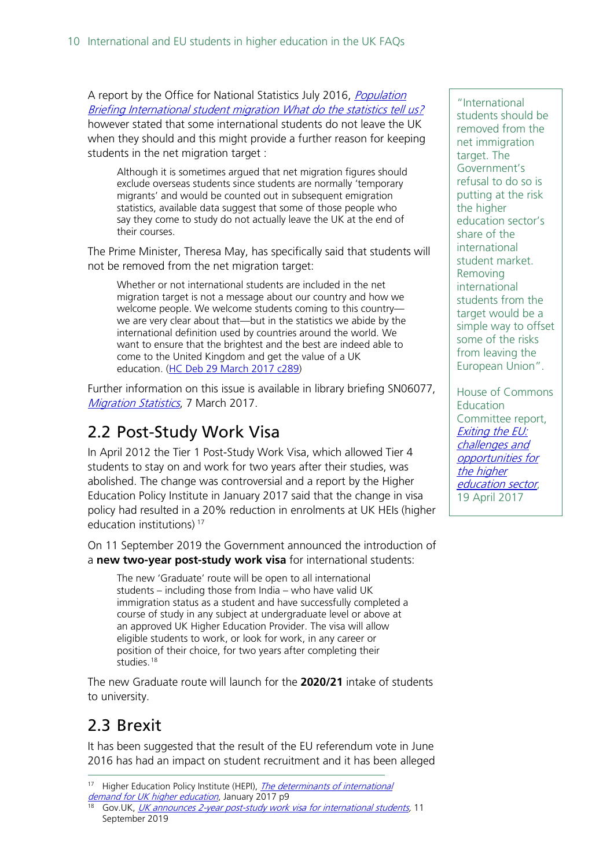A report by the Office for National Statistics July 2016, Population [Briefing International student migration What do the statistics tell us?](http://webarchive.nationalarchives.gov.uk/20160105160709/http:/www.ons.gov.uk/ons/rel/migration1/long-term-international-migration/student-migration---what-do-the-statistics-tell-us-/student-migration---what-do-the-statistics-tell-us.pdf) however stated that some international students do not leave the UK when they should and this might provide a further reason for keeping students in the net migration target :

Although it is sometimes argued that net migration figures should exclude overseas students since students are normally 'temporary migrants' and would be counted out in subsequent emigration statistics, available data suggest that some of those people who say they come to study do not actually leave the UK at the end of their courses.

The Prime Minister, Theresa May, has specifically said that students will not be removed from the net migration target:

Whether or not international students are included in the net migration target is not a message about our country and how we welcome people. We welcome students coming to this country we are very clear about that—but in the statistics we abide by the international definition used by countries around the world. We want to ensure that the brightest and the best are indeed able to come to the United Kingdom and get the value of a UK education. [\(HC Deb 29 March 2017 c289\)](https://hansard.parliament.uk/Commons/2017-03-29/debates/A6DFE4A0-6AB1-4B71-BF25-376F52AF3300/Article50)

Further information on this issue is available in library briefing SN06077, **[Migration Statistics](http://researchbriefings.files.parliament.uk/documents/SN06077/SN06077.pdf)**, 7 March 2017.

## <span id="page-9-0"></span>2.2 Post-Study Work Visa

In April 2012 the Tier 1 Post-Study Work Visa, which allowed Tier 4 students to stay on and work for two years after their studies, was abolished. The change was controversial and a report by the Higher Education Policy Institute in January 2017 said that the change in visa policy had resulted in a 20% reduction in enrolments at UK HEIs (higher education institutions)<sup>[17](#page-9-2)</sup>

On 11 September 2019 the Government announced the introduction of a **new two-year post-study work visa** for international students:

The new 'Graduate' route will be open to all international students – including those from India – who have valid UK immigration status as a student and have successfully completed a course of study in any subject at undergraduate level or above at an approved UK Higher Education Provider. The visa will allow eligible students to work, or look for work, in any career or position of their choice, for two years after completing their studies.<sup>[18](#page-9-3)</sup>

The new Graduate route will launch for the **2020/21** intake of students to university.

## <span id="page-9-1"></span>2.3 Brexit

It has been suggested that the result of the EU referendum vote in June 2016 has had an impact on student recruitment and it has been alleged

"International students should be removed from the net immigration target. The Government's refusal to do so is putting at the risk the higher education sector's share of the international student market. Removing international students from the target would be a simple way to offset some of the risks from leaving the European Union".

House of Commons **Education** Committee report, [Exiting](https://www.publications.parliament.uk/pa/cm201617/cmselect/cmeduc/683/683.pdf) the EU: [challenges and](https://www.publications.parliament.uk/pa/cm201617/cmselect/cmeduc/683/683.pdf)  [opportunities for](https://www.publications.parliament.uk/pa/cm201617/cmselect/cmeduc/683/683.pdf)  [the higher](https://www.publications.parliament.uk/pa/cm201617/cmselect/cmeduc/683/683.pdf)  [education sector](https://www.publications.parliament.uk/pa/cm201617/cmselect/cmeduc/683/683.pdf), 19 April 2017

<span id="page-9-2"></span><sup>&</sup>lt;sup>17</sup> Higher Education Policy Institute (HEPI), *[The determinants of international](http://www.hepi.ac.uk/wp-content/uploads/2017/01/Hepi-Report-91-Screen.pdf)* [demand for UK higher education](http://www.hepi.ac.uk/wp-content/uploads/2017/01/Hepi-Report-91-Screen.pdf), January 2017 p9

<span id="page-9-3"></span>Gov. UK, [UK announces 2-year post-study work visa for international students,](https://www.gov.uk/government/news/uk-announces-2-year-post-study-work-visa-for-international-students) 11 September 2019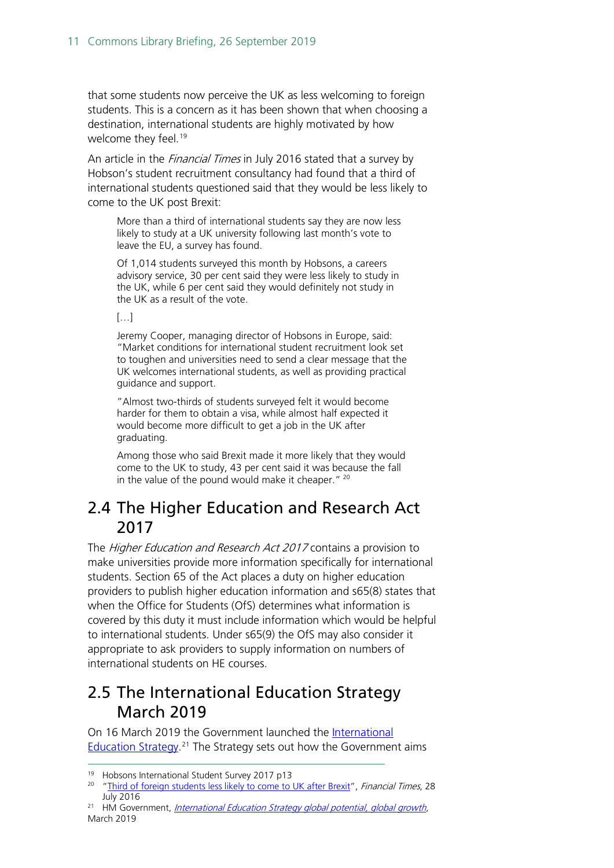that some students now perceive the UK as less welcoming to foreign students. This is a concern as it has been shown that when choosing a destination, international students are highly motivated by how welcome they feel.<sup>[19](#page-10-2)</sup>

An article in the *Financial Times* in July 2016 stated that a survey by Hobson's student recruitment consultancy had found that a third of international students questioned said that they would be less likely to come to the UK post Brexit:

More than a third of international students say they are now less likely to study at a UK university following last month's vote to leave the EU, a survey has found.

Of 1,014 students surveyed this month by Hobsons, a careers advisory service, 30 per cent said they were less likely to study in the UK, while 6 per cent said they would definitely not study in the UK as a result of the vote.

 $[...]$ 

Jeremy Cooper, managing director of Hobsons in Europe, said: "Market conditions for international student recruitment look set to toughen and universities need to send a clear message that the UK welcomes international students, as well as providing practical guidance and support.

"Almost two-thirds of students surveyed felt it would become harder for them to obtain a visa, while almost half expected it would become more difficult to get a job in the UK after graduating.

Among those who said Brexit made it more likely that they would come to the UK to study, 43 per cent said it was because the fall in the value of the pound would make it cheaper."<sup>[20](#page-10-3)</sup>

## <span id="page-10-0"></span>2.4 The Higher Education and Research Act 2017

The *Higher Education and Research Act 2017* contains a provision to make universities provide more information specifically for international students. Section 65 of the Act places a duty on higher education providers to publish higher education information and s65(8) states that when the Office for Students (OfS) determines what information is covered by this duty it must include information which would be helpful to international students. Under s65(9) the OfS may also consider it appropriate to ask providers to supply information on numbers of international students on HE courses.

## <span id="page-10-1"></span>2.5 The International Education Strategy March 2019

On 16 March 2019 the Government launched the [International](https://www.gov.uk/government/publications/international-education-strategy-global-potential-global-growth/international-education-strategy-global-potential-global-growth)  [Education Strategy.](https://www.gov.uk/government/publications/international-education-strategy-global-potential-global-growth/international-education-strategy-global-potential-global-growth)<sup>[21](#page-10-4)</sup> The Strategy sets out how the Government aims

<span id="page-10-3"></span><span id="page-10-2"></span><sup>19</sup> Hobsons International Student Survey 2017 p13

<sup>&</sup>lt;sup>20</sup> ["Third of foreign students less likely to come to UK after Brexit"](https://www.ft.com/content/c179cb10-53f3-11e6-9664-e0bdc13c3bef), Financial Times, 28 July 2016

<span id="page-10-4"></span><sup>&</sup>lt;sup>21</sup> HM Government, *[International Education Strategy global potential, global growth](https://assets.publishing.service.gov.uk/government/uploads/system/uploads/attachment_data/file/786459/international-education-strategy.pdf)*, March 2019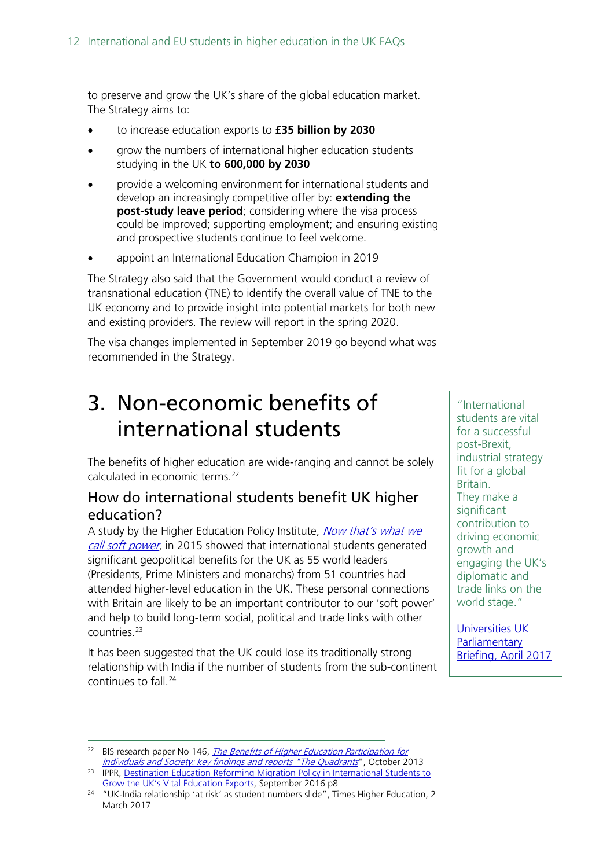to preserve and grow the UK's share of the global education market. The Strategy aims to:

- to increase education exports to **£35 billion by 2030**
- grow the numbers of international higher education students studying in the UK **to 600,000 by 2030**
- provide a welcoming environment for international students and develop an increasingly competitive offer by: **extending the post-study leave period**; considering where the visa process could be improved; supporting employment; and ensuring existing and prospective students continue to feel welcome.
- appoint an International Education Champion in 2019

The Strategy also said that the Government would conduct a review of transnational education (TNE) to identify the overall value of TNE to the UK economy and to provide insight into potential markets for both new and existing providers. The review will report in the spring 2020.

The visa changes implemented in September 2019 go beyond what was recommended in the Strategy.

# <span id="page-11-0"></span>3. Non-economic benefits of international students

The benefits of higher education are wide-ranging and cannot be solely calculated in economic terms.<sup>[22](#page-11-2)</sup>

#### <span id="page-11-1"></span>How do international students benefit UK higher education?

A study by the Higher Education Policy Institute, Now that's what we [call soft power](http://www.hepi.ac.uk/2015/10/01/now-thats-call-soft-power-55-world-leaders-educated-uk/), in 2015 showed that international students generated significant geopolitical benefits for the UK as 55 world leaders (Presidents, Prime Ministers and monarchs) from 51 countries had attended higher-level education in the UK. These personal connections with Britain are likely to be an important contributor to our 'soft power' and help to build long-term social, political and trade links with other countries.[23](#page-11-3)

It has been suggested that the UK could lose its traditionally strong relationship with India if the number of students from the sub-continent continues to fall.[24](#page-11-4)

"International students are vital for a successful post-Brexit, industrial strategy fit for a global Britain. They make a significant contribution to driving economic growth and engaging the UK's diplomatic and trade links on the world stage."

[Universities UK](http://www.universitiesuk.ac.uk/policy-and-analysis/reports/Documents/2017/final-uuk-briefing-lord-hannay-amendment-ping-pong-hofc.pdf)  **[Parliamentary](http://www.universitiesuk.ac.uk/policy-and-analysis/reports/Documents/2017/final-uuk-briefing-lord-hannay-amendment-ping-pong-hofc.pdf)** Briefing, [April 2017](http://www.universitiesuk.ac.uk/policy-and-analysis/reports/Documents/2017/final-uuk-briefing-lord-hannay-amendment-ping-pong-hofc.pdf)

<span id="page-11-2"></span><sup>&</sup>lt;sup>22</sup> BIS research paper No 146, *The Benefits of Higher Education Participation for* [Individuals and Society: key findings and reports "The Quadrants](https://www.gov.uk/government/publications/benefits-of-participating-in-higher-education-key-findings-and-reports-quadrants)", October 2013 <sup>23</sup> IPPR, Destination Education Reforming Migration Policy in International Students to

<span id="page-11-3"></span>[Grow the UK's Vital Education Exports,](http://www.ippr.org/files/publications/pdf/destination-education_Oct16.pdf?noredirect=1) September 2016 p8

<span id="page-11-4"></span><sup>&</sup>lt;sup>24</sup> "UK-India relationship 'at risk' as student numbers slide", Times Higher Education, 2 March 2017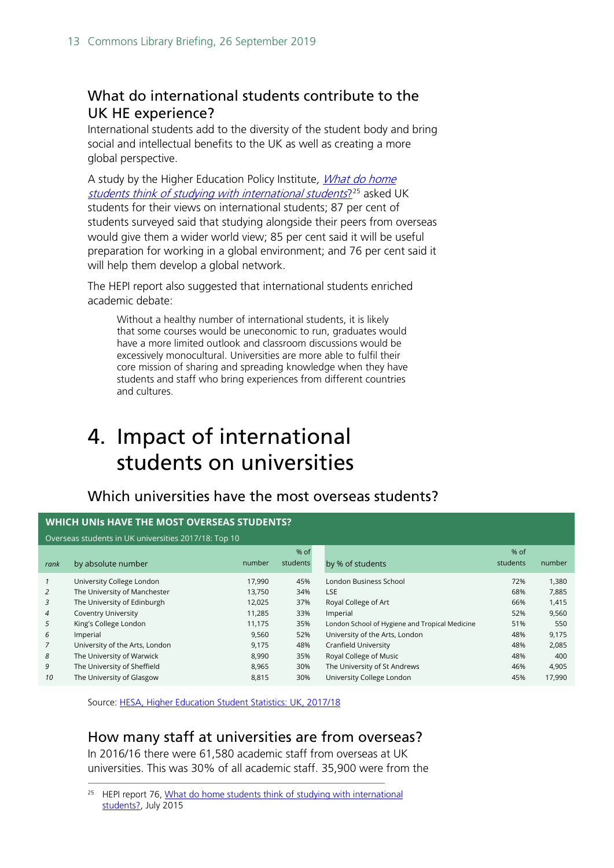### <span id="page-12-1"></span>What do international students contribute to the UK HE experience?

International students add to the diversity of the student body and bring social and intellectual benefits to the UK as well as creating a more global perspective.

A study by the Higher Education Policy Institute, *What do home* [students think of studying with international students](https://www.heacademy.ac.uk/system/files/resources/HEPI_IntlStudentsReport.pdf)?<sup>[25](#page-12-4)</sup> asked UK students for their views on international students; 87 per cent of students surveyed said that studying alongside their peers from overseas would give them a wider world view; 85 per cent said it will be useful preparation for working in a global environment; and 76 per cent said it will help them develop a global network.

The HEPI report also suggested that international students enriched academic debate:

Without a healthy number of international students, it is likely that some courses would be uneconomic to run, graduates would have a more limited outlook and classroom discussions would be excessively monocultural. Universities are more able to fulfil their core mission of sharing and spreading knowledge when they have students and staff who bring experiences from different countries and cultures.

# <span id="page-12-0"></span>4. Impact of international students on universities

<span id="page-12-2"></span>Which universities have the most overseas students?

#### **WHICH UNIs HAVE THE MOST OVERSEAS STUDENTS?**

Overseas students in UK universities 2017/18: Top 10

|                | <u>UNCIDENS Staathies in UN annuel Sities ZUTTITIO. TUD TU</u> |        |                    |                                                |                  |        |  |  |
|----------------|----------------------------------------------------------------|--------|--------------------|------------------------------------------------|------------------|--------|--|--|
|                |                                                                | number | $%$ of<br>students |                                                | % of<br>students | number |  |  |
| rank           | by absolute number                                             |        |                    | by % of students                               |                  |        |  |  |
|                | University College London                                      | 17,990 | 45%                | London Business School                         | 72%              | 1,380  |  |  |
| 2              | The University of Manchester                                   | 13,750 | 34%                | <b>LSE</b>                                     | 68%              | 7,885  |  |  |
| 3              | The University of Edinburgh                                    | 12,025 | 37%                | Royal College of Art                           | 66%              | 1,415  |  |  |
| $\overline{4}$ | <b>Coventry University</b>                                     | 11,285 | 33%                | Imperial                                       | 52%              | 9,560  |  |  |
| 5              | King's College London                                          | 11,175 | 35%                | London School of Hygiene and Tropical Medicine | 51%              | 550    |  |  |
| 6              | Imperial                                                       | 9,560  | 52%                | University of the Arts, London                 | 48%              | 9,175  |  |  |
|                | University of the Arts, London                                 | 9,175  | 48%                | Cranfield University                           | 48%              | 2,085  |  |  |
| 8              | The University of Warwick                                      | 8,990  | 35%                | Royal College of Music                         | 48%              | 400    |  |  |
| 9              | The University of Sheffield                                    | 8,965  | 30%                | The University of St Andrews                   | 46%              | 4,905  |  |  |
| 10             | The University of Glasgow                                      | 8,815  | 30%                | University College London                      | 45%              | 17,990 |  |  |
|                |                                                                |        |                    |                                                |                  |        |  |  |

Source: [HESA, Higher Education Student Statistics: UK, 2017/18](https://www.hesa.ac.uk/news/17-01-2019/sb252-higher-education-student-statistics)

#### <span id="page-12-3"></span>How many staff at universities are from overseas?

In 2016/16 there were 61,580 academic staff from overseas at UK universities. This was 30% of all academic staff. 35,900 were from the

<span id="page-12-4"></span><sup>&</sup>lt;sup>25</sup> HEPI report 76, What do home students think of studying with international [students?,](https://www.heacademy.ac.uk/system/files/resources/HEPI_IntlStudentsReport.pdf) July 2015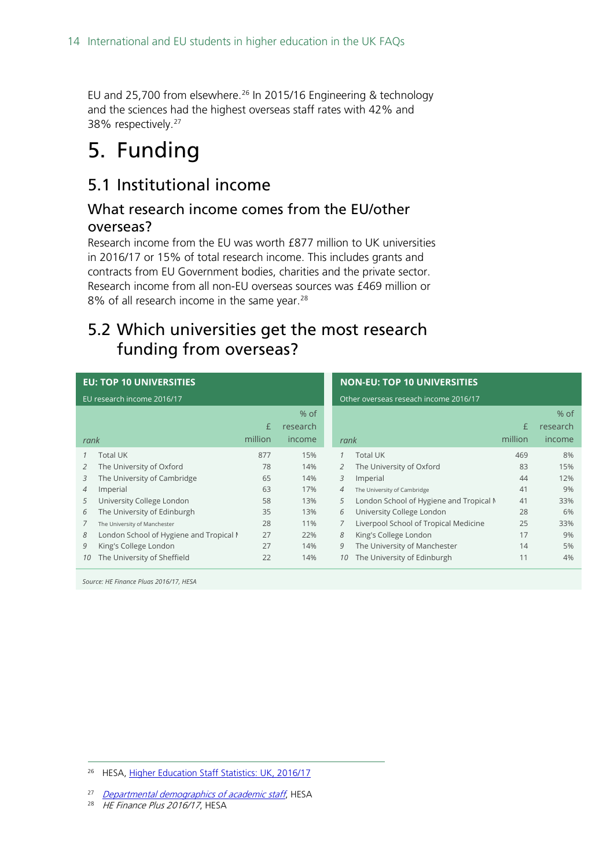EU and 25,700 from elsewhere.<sup>[26](#page-13-4)</sup> In 2015/16 Engineering & technology and the sciences had the highest overseas staff rates with 42% and 38% respectively.<sup>[27](#page-13-5)</sup>

# <span id="page-13-0"></span>5. Funding

## <span id="page-13-1"></span>5.1 Institutional income

#### <span id="page-13-2"></span>What research income comes from the EU/other overseas?

Research income from the EU was worth £877 million to UK universities in 2016/17 or 15% of total research income. This includes grants and contracts from EU Government bodies, charities and the private sector. Research income from all non-EU overseas sources was £469 million or 8% of all research income in the same year.<sup>[28](#page-13-6)</sup>

## <span id="page-13-3"></span>5.2 Which universities get the most research funding from overseas?

| <b>EU: TOP 10 UNIVERSITIES</b> |                                         |              |                              |    | <b>NON-EU: TOP 10 UNIVERSITIES</b>      |              |                            |
|--------------------------------|-----------------------------------------|--------------|------------------------------|----|-----------------------------------------|--------------|----------------------------|
| EU research income 2016/17     |                                         |              |                              |    | Other overseas reseach income 2016/17   |              |                            |
| rank                           |                                         | £<br>million | $%$ of<br>research<br>income |    | rank                                    | £<br>million | % of<br>research<br>income |
|                                |                                         |              |                              |    |                                         |              |                            |
|                                | <b>Total UK</b>                         | 877          | 15%                          |    | <b>Total UK</b>                         | 469          | 8%                         |
|                                | The University of Oxford                | 78           | 14%                          | 2  | The University of Oxford                | 83           | 15%                        |
| 3                              | The University of Cambridge             | 65           | 14%                          | 3  | Imperial                                | 44           | 12%                        |
| 4                              | Imperial                                | 63           | 17%                          | 4  | The University of Cambridge             | 41           | 9%                         |
| 5                              | University College London               | 58           | 13%                          | 5  | London School of Hygiene and Tropical M | 41           | 33%                        |
| 6                              | The University of Edinburgh             | 35           | 13%                          | 6  | University College London               | 28           | 6%                         |
|                                | The University of Manchester            | 28           | 11%                          | 7  | Liverpool School of Tropical Medicine   | 25           | 33%                        |
| 8                              | London School of Hygiene and Tropical M | 27           | 22%                          | 8  | King's College London                   | 17           | 9%                         |
| 9                              | King's College London                   | 27           | 14%                          | 9  | The University of Manchester            | 14           | 5%                         |
| 10                             | The University of Sheffield             | 22           | 14%                          | 10 | The University of Edinburgh             | 11           | 4%                         |

*Source: HE Finance Pluas 2016/17, HESA*

<span id="page-13-4"></span><sup>&</sup>lt;sup>26</sup> HESA, [Higher Education Staff Statistics: UK, 2016/17](https://www.hesa.ac.uk/news/18-01-2018/sfr248-higher-education-staff-statistics)

<span id="page-13-5"></span><sup>&</sup>lt;sup>27</sup> [Departmental demographics](https://www.hesa.ac.uk/news/23-02-2017/departmental-demographics-academic-staff) of academic staff, HESA

<span id="page-13-6"></span> $28$  HE Finance Plus 2016/17, HESA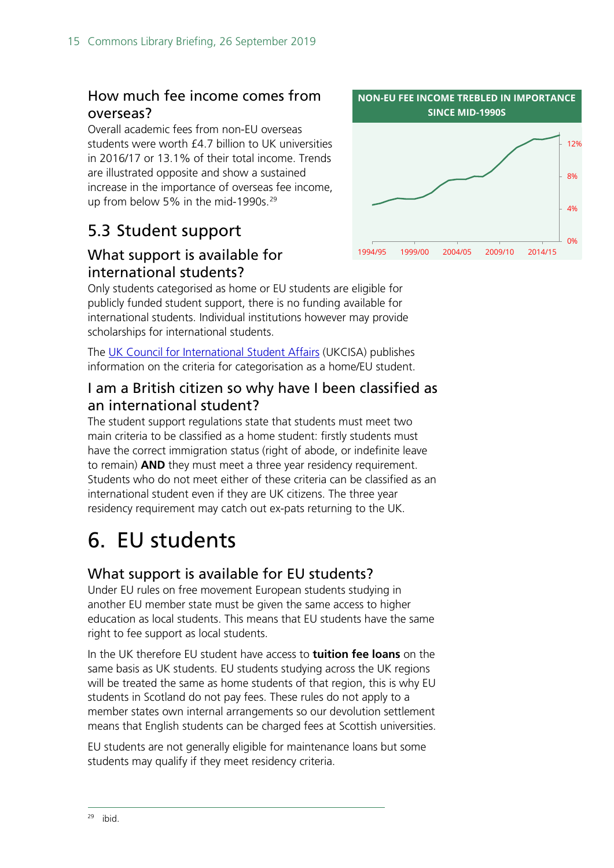## <span id="page-14-1"></span>How much fee income comes from overseas?

Overall academic fees from non-EU overseas students were worth £4.7 billion to UK universities in 2016/17 or 13.1% of their total income. Trends are illustrated opposite and show a sustained increase in the importance of overseas fee income, up from below 5% in the mid-1990s.<sup>[29](#page-14-6)</sup>

## <span id="page-14-2"></span>5.3 Student support

### <span id="page-14-3"></span>What support is available for international students?

Only students categorised as home or EU students are eligible for publicly funded student support, there is no funding available for international students. Individual institutions however may provide scholarships for international students.

The [UK Council for International Student Affairs](https://www.ukcisa.org.uk/) (UKCISA) publishes information on the criteria for categorisation as a home/EU student.

### <span id="page-14-4"></span>I am a British citizen so why have I been classified as an international student?

The student support regulations state that students must meet two main criteria to be classified as a home student: firstly students must have the correct immigration status (right of abode, or indefinite leave to remain) **AND** they must meet a three year residency requirement. Students who do not meet either of these criteria can be classified as an international student even if they are UK citizens. The three year residency requirement may catch out ex-pats returning to the UK.

# <span id="page-14-0"></span>6. EU students

### <span id="page-14-5"></span>What support is available for EU students?

Under EU rules on free movement European students studying in another EU member state must be given the same access to higher education as local students. This means that EU students have the same right to fee support as local students.

In the UK therefore EU student have access to **tuition fee loans** on the same basis as UK students. EU students studying across the UK regions will be treated the same as home students of that region, this is why EU students in Scotland do not pay fees. These rules do not apply to a member states own internal arrangements so our devolution settlement means that English students can be charged fees at Scottish universities.

<span id="page-14-6"></span>EU students are not generally eligible for maintenance loans but some students may qualify if they meet residency criteria.



1994/95 1999/00 2004/05 2009/10 2014/15

0%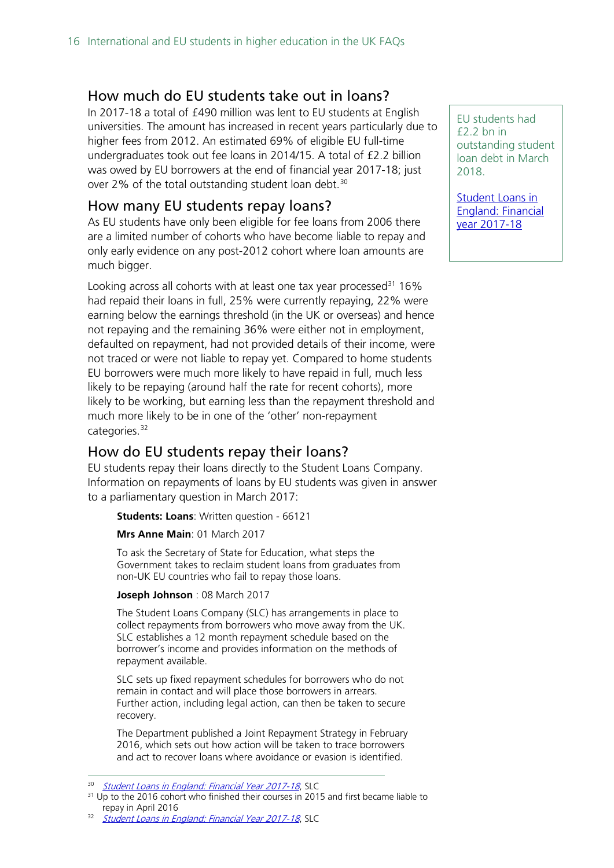#### <span id="page-15-0"></span>How much do EU students take out in loans?

In 2017-18 a total of £490 million was lent to EU students at English universities. The amount has increased in recent years particularly due to higher fees from 2012. An estimated 69% of eligible EU full-time undergraduates took out fee loans in 2014/15. A total of £2.2 billion was owed by EU borrowers at the end of financial year 2017-18; just over 2% of the total outstanding student loan debt.<sup>[30](#page-15-3)</sup>

#### <span id="page-15-1"></span>How many EU students repay loans?

As EU students have only been eligible for fee loans from 2006 there are a limited number of cohorts who have become liable to repay and only early evidence on any post-2012 cohort where loan amounts are much bigger.

Looking across all cohorts with at least one tax year processed<sup>31</sup> 16% had repaid their loans in full, 25% were currently repaying, 22% were earning below the earnings threshold (in the UK or overseas) and hence not repaying and the remaining 36% were either not in employment, defaulted on repayment, had not provided details of their income, were not traced or were not liable to repay yet. Compared to home students EU borrowers were much more likely to have repaid in full, much less likely to be repaying (around half the rate for recent cohorts), more likely to be working, but earning less than the repayment threshold and much more likely to be in one of the 'other' non-repayment categories.<sup>[32](#page-15-5)</sup>

#### <span id="page-15-2"></span>How do EU students repay their loans?

EU students repay their loans directly to the Student Loans Company. Information on repayments of loans by EU students was given in answer to a parliamentary question in March 2017:

**Students: Loans**: Written question - 66121

#### **Mrs Anne Main**: 01 March 2017

To ask the Secretary of State for Education, what steps the Government takes to reclaim student loans from graduates from non-UK EU countries who fail to repay those loans.

#### **Joseph Johnson** : 08 March 2017

The Student Loans Company (SLC) has arrangements in place to collect repayments from borrowers who move away from the UK. SLC establishes a 12 month repayment schedule based on the borrower's income and provides information on the methods of repayment available.

SLC sets up fixed repayment schedules for borrowers who do not remain in contact and will place those borrowers in arrears. Further action, including legal action, can then be taken to secure recovery.

The Department published a Joint Repayment Strategy in February 2016, which sets out how action will be taken to trace borrowers and act to recover loans where avoidance or evasion is identified.

EU students had £2.2 bn in outstanding student loan debt in March 2018.

[Student Loans in](https://www.slc.co.uk/media/10022/slcsp012018.pdf)  [England: Financial](https://www.slc.co.uk/media/10022/slcsp012018.pdf)  [year 2017-18](https://www.slc.co.uk/media/10022/slcsp012018.pdf)

<span id="page-15-4"></span><span id="page-15-3"></span><sup>30</sup> *[Student Loans in England: Financial Year 2017-18](http://www.slc.co.uk/official-statistics/student-loans-debt-and-repayment/england.aspx)*, SLC

 $31$  Up to the 2016 cohort who finished their courses in 2015 and first became liable to repay in April 2016

<span id="page-15-5"></span>[Student Loans in England: Financial Year 2017-18](http://www.slc.co.uk/official-statistics/student-loans-debt-and-repayment/england.aspx), SLC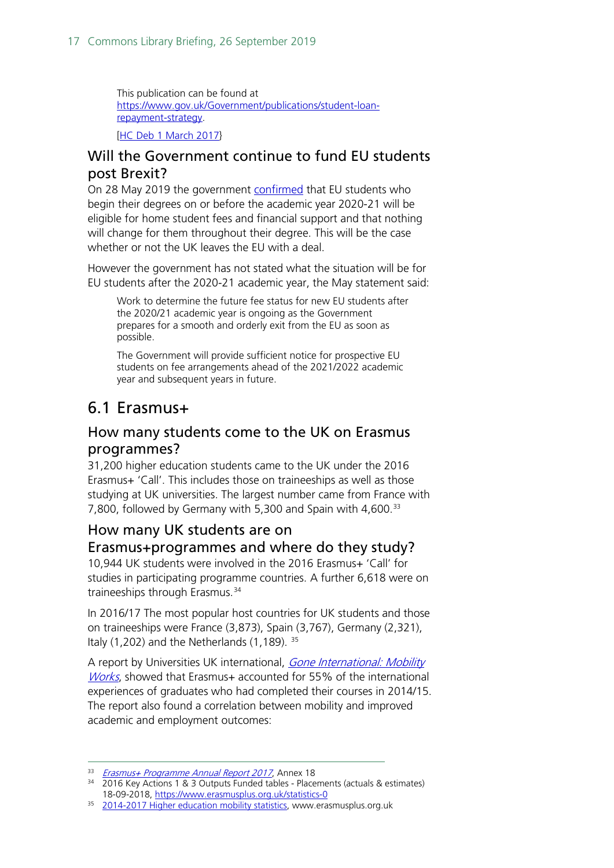This publication can be found at [https://www.gov.uk/Government/publications/student-loan](https://www.gov.uk/government/publications/student-loan-repayment-strategy)[repayment-strategy.](https://www.gov.uk/government/publications/student-loan-repayment-strategy)

[\[HC Deb 1 March 2017}](http://www.parliament.uk/written-questions-answers-statements/written-question/commons/2017-03-01/66121)

### <span id="page-16-0"></span>Will the Government continue to fund EU students post Brexit?

On 28 May 2019 the government [confirmed](https://www.gov.uk/government/news/eu-student-funding-continued-for-202021) that EU students who begin their degrees on or before the academic year 2020-21 will be eligible for home student fees and financial support and that nothing will change for them throughout their degree. This will be the case whether or not the UK leaves the EU with a deal.

However the government has not stated what the situation will be for EU students after the 2020-21 academic year, the May statement said:

Work to determine the future fee status for new EU students after the 2020/21 academic year is ongoing as the Government prepares for a smooth and orderly exit from the EU as soon as possible.

The Government will provide sufficient notice for prospective EU students on fee arrangements ahead of the 2021/2022 academic year and subsequent years in future.

## <span id="page-16-1"></span>6.1 Erasmus+

#### <span id="page-16-2"></span>How many students come to the UK on Erasmus programmes?

31,200 higher education students came to the UK under the 2016 Erasmus+ 'Call'. This includes those on traineeships as well as those studying at UK universities. The largest number came from France with 7,800, followed by Germany with 5,300 and Spain with 4,600.<sup>33</sup>

## <span id="page-16-3"></span>How many UK students are on

### Erasmus+programmes and where do they study?

10,944 UK students were involved in the 2016 Erasmus+ 'Call' for studies in participating programme countries. A further 6,618 were on traineeships through Erasmus.[34](#page-16-5)

In 2016/17 The most popular host countries for UK students and those on traineeships were France (3,873), Spain (3,767), Germany (2,321), Italy (1,202) and the Netherlands (1,189). [35](#page-16-6)

A report by Universities UK international, Gone International: Mobility [Works](http://www.universitiesuk.ac.uk/policy-and-analysis/reports/Pages/gone-international-mobility-works.aspx), showed that Erasmus+ accounted for 55% of the international experiences of graduates who had completed their courses in 2014/15. The report also found a correlation between mobility and improved academic and employment outcomes:

<span id="page-16-4"></span><sup>33</sup> [Erasmus+ Programme Annual Report 2017](https://publications.europa.eu/en/publication-detail/-/publication/519aa03d-1f0b-11e9-8d04-01aa75ed71a1), Annex 18

<span id="page-16-5"></span><sup>34</sup> 2016 Key Actions 1 & 3 Outputs Funded tables - Placements (actuals & estimates) 18-09-2018,<https://www.erasmusplus.org.uk/statistics-0>

<span id="page-16-6"></span><sup>&</sup>lt;sup>35</sup> 2014-2017 [Higher education mobility statistics,](https://www.erasmusplus.org.uk/file/6042/download) www.erasmusplus.org.uk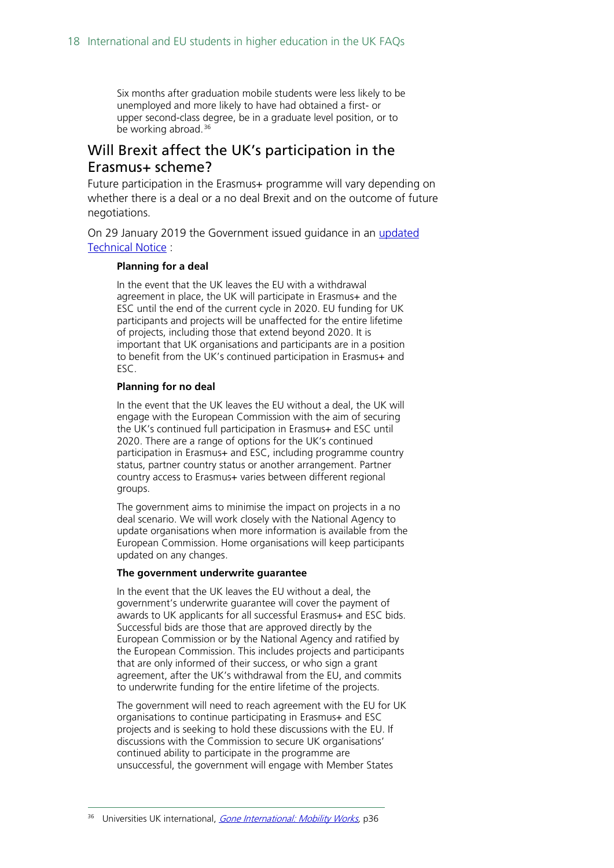Six months after graduation mobile students were less likely to be unemployed and more likely to have had obtained a first- or upper second-class degree, be in a graduate level position, or to be working abroad.<sup>[36](#page-17-1)</sup>

## <span id="page-17-0"></span>Will Brexit affect the UK's participation in the Erasmus+ scheme?

Future participation in the Erasmus+ programme will vary depending on whether there is a deal or a no deal Brexit and on the outcome of future negotiations.

On 29 January 2019 the Government issued guidance in an [updated](https://www.gov.uk/government/publications/erasmus-in-the-uk-if-theres-no-brexit-deal/erasmus-in-the-uk-if-theres-no-brexit-deal) [Technical Notice](https://www.gov.uk/government/publications/erasmus-in-the-uk-if-theres-no-brexit-deal/erasmus-in-the-uk-if-theres-no-brexit-deal) :

#### **Planning for a deal**

In the event that the UK leaves the EU with a withdrawal agreement in place, the UK will participate in Erasmus+ and the ESC until the end of the current cycle in 2020. EU funding for UK participants and projects will be unaffected for the entire lifetime of projects, including those that extend beyond 2020. It is important that UK organisations and participants are in a position to benefit from the UK's continued participation in Erasmus+ and ESC.

#### **Planning for no deal**

In the event that the UK leaves the EU without a deal, the UK will engage with the European Commission with the aim of securing the UK's continued full participation in Erasmus+ and ESC until 2020. There are a range of options for the UK's continued participation in Erasmus+ and ESC, including programme country status, partner country status or another arrangement. Partner country access to Erasmus+ varies between different regional groups.

The government aims to minimise the impact on projects in a no deal scenario. We will work closely with the National Agency to update organisations when more information is available from the European Commission. Home organisations will keep participants updated on any changes.

#### **The government underwrite guarantee**

In the event that the UK leaves the EU without a deal, the government's underwrite guarantee will cover the payment of awards to UK applicants for all successful Erasmus+ and ESC bids. Successful bids are those that are approved directly by the European Commission or by the National Agency and ratified by the European Commission. This includes projects and participants that are only informed of their success, or who sign a grant agreement, after the UK's withdrawal from the EU, and commits to underwrite funding for the entire lifetime of the projects.

The government will need to reach agreement with the EU for UK organisations to continue participating in Erasmus+ and ESC projects and is seeking to hold these discussions with the EU. If discussions with the Commission to secure UK organisations' continued ability to participate in the programme are unsuccessful, the government will engage with Member States

<span id="page-17-1"></span><sup>&</sup>lt;sup>36</sup> Universities UK international, [Gone International: Mobility](http://www.universitiesuk.ac.uk/policy-and-analysis/reports/Pages/gone-international-mobility-works.aspx) Works, p36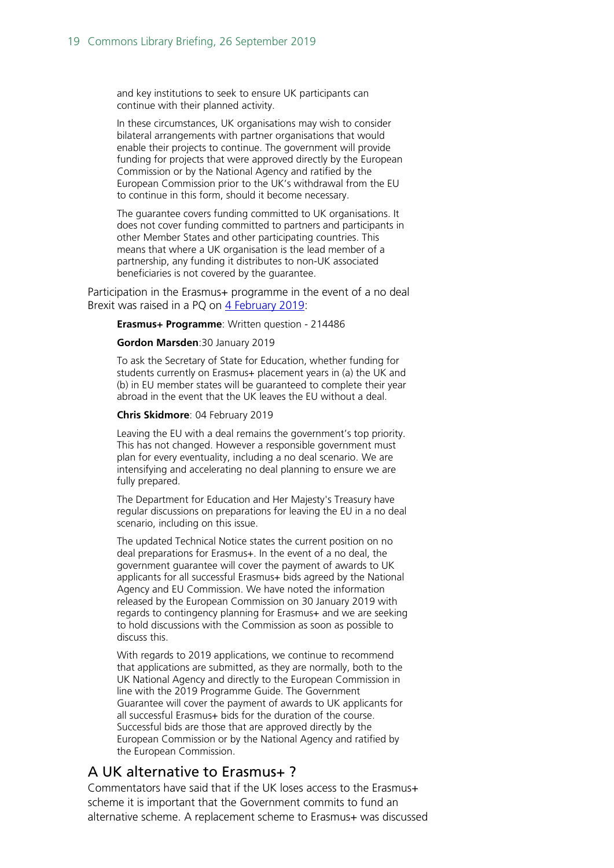and key institutions to seek to ensure UK participants can continue with their planned activity.

In these circumstances, UK organisations may wish to consider bilateral arrangements with partner organisations that would enable their projects to continue. The government will provide funding for projects that were approved directly by the European Commission or by the National Agency and ratified by the European Commission prior to the UK's withdrawal from the EU to continue in this form, should it become necessary.

The guarantee covers funding committed to UK organisations. It does not cover funding committed to partners and participants in other Member States and other participating countries. This means that where a UK organisation is the lead member of a partnership, any funding it distributes to non-UK associated beneficiaries is not covered by the guarantee.

Participation in the Erasmus+ programme in the event of a no deal Brexit was raised in a PQ on [4 February 2019:](https://www.parliament.uk/written-questions-answers-statements/written-question/commons/2019-01-30/214486)

#### **Erasmus+ Programme**: Written question - 214486

#### **Gordon Marsden**:30 January 2019

To ask the Secretary of State for Education, whether funding for students currently on Erasmus+ placement years in (a) the UK and (b) in EU member states will be guaranteed to complete their year abroad in the event that the UK leaves the EU without a deal.

#### **Chris Skidmore**: 04 February 2019

Leaving the EU with a deal remains the government's top priority. This has not changed. However a responsible government must plan for every eventuality, including a no deal scenario. We are intensifying and accelerating no deal planning to ensure we are fully prepared.

The Department for Education and Her Majesty's Treasury have regular discussions on preparations for leaving the EU in a no deal scenario, including on this issue.

The updated Technical Notice states the current position on no deal preparations for Erasmus+. In the event of a no deal, the government guarantee will cover the payment of awards to UK applicants for all successful Erasmus+ bids agreed by the National Agency and EU Commission. We have noted the information released by the European Commission on 30 January 2019 with regards to contingency planning for Erasmus+ and we are seeking to hold discussions with the Commission as soon as possible to discuss this.

With regards to 2019 applications, we continue to recommend that applications are submitted, as they are normally, both to the UK National Agency and directly to the European Commission in line with the 2019 Programme Guide. The Government Guarantee will cover the payment of awards to UK applicants for all successful Erasmus+ bids for the duration of the course. Successful bids are those that are approved directly by the European Commission or by the National Agency and ratified by the European Commission.

#### <span id="page-18-0"></span>A UK alternative to Erasmus+ ?

Commentators have said that if the UK loses access to the Erasmus+ scheme it is important that the Government commits to fund an alternative scheme. A replacement scheme to Erasmus+ was discussed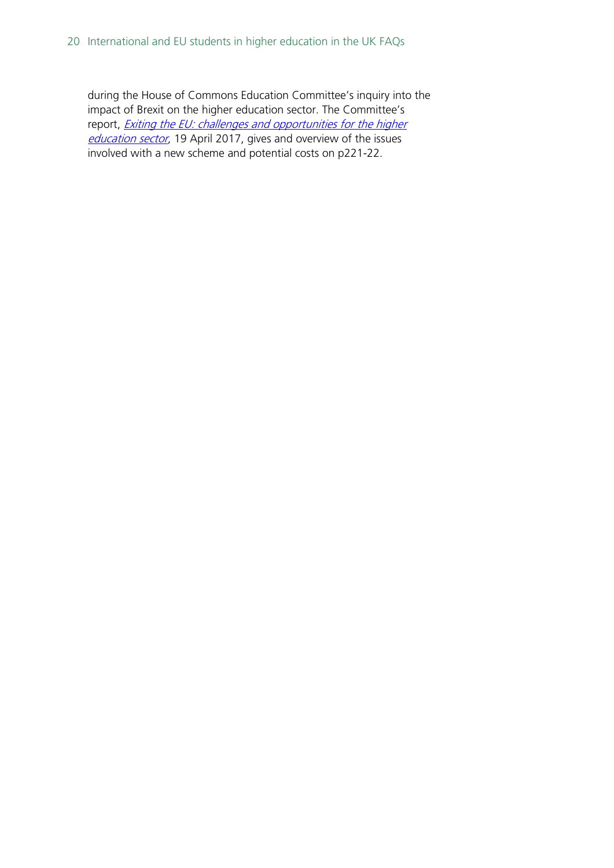during the House of Commons Education Committee's inquiry into the impact of Brexit on the higher education sector. The Committee's report, *Exiting the EU: challenges and opportunities for the higher* [education sector](https://www.publications.parliament.uk/pa/cm201617/cmselect/cmeduc/683/683.pdf), 19 April 2017, gives and overview of the issues involved with a new scheme and potential costs on p221-22.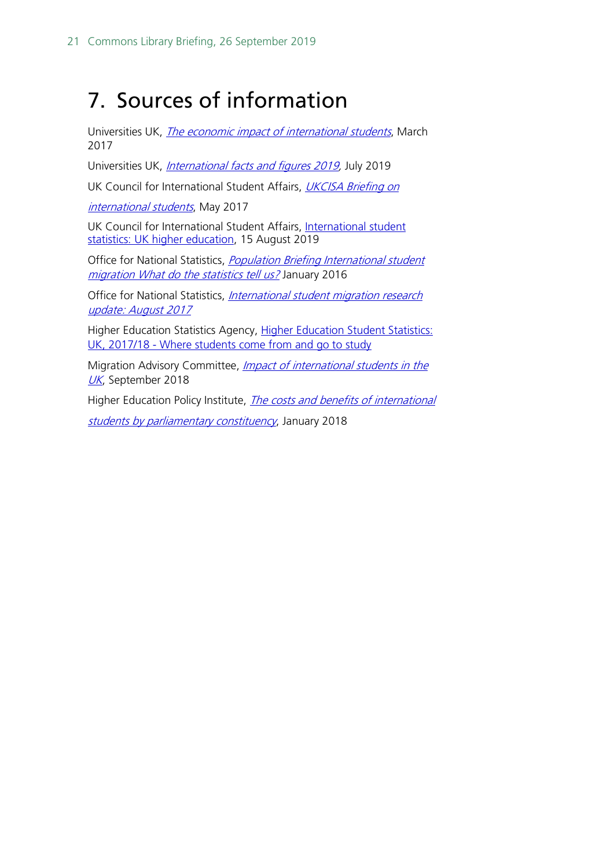# <span id="page-20-0"></span>7. Sources of information

Universities UK, [The economic impact of international students](http://www.universitiesuk.ac.uk/policy-and-analysis/reports/Documents/2017/briefing-economic-impact-international-students.pdf), March 2017

Universities UK, *International facts and figures 2019*, July 2019

UK Council for International Student Affairs, [UKCISA Briefing on](https://www.ukcisa.org.uk/Research--Policy/Resource-bank/resources/94/UKCISA-Briefing-on-international-students)

[international students](https://www.ukcisa.org.uk/Research--Policy/Resource-bank/resources/94/UKCISA-Briefing-on-international-students), May 2017

UK Council for International Student Affairs, International student [statistics: UK higher education,](https://www.ukcisa.org.uk/Research--Policy/Statistics/International-student-statistics-UK-higher-education) 15 August 2019

Office for National Statistics, Population Briefing International student [migration What do the statistics tell us?](http://webarchive.nationalarchives.gov.uk/20160105160709/http:/www.ons.gov.uk/ons/rel/migration1/long-term-international-migration/student-migration---what-do-the-statistics-tell-us-/student-migration---what-do-the-statistics-tell-us.pdf) January 2016

Office for National Statistics, *International student migration research* [update: August 2017](https://www.ons.gov.uk/peoplepopulationandcommunity/populationandmigration/internationalmigration/articles/internationalstudentmigrationresearchupdate/august2017)

Higher Education Statistics Agency, Higher Education Student Statistics: UK, 2017/18 - [Where students come from and go to study](https://www.hesa.ac.uk/news/17-01-2019/sb252-higher-education-student-statistics/location)

Migration Advisory Committee, *Impact of international students in the* [UK](https://assets.publishing.service.gov.uk/government/uploads/system/uploads/attachment_data/file/739089/Impact_intl_students_report_published_v1.1.pdf), September 2018

Higher Education Policy Institute, *[The costs and benefits of international](https://www.hepi.ac.uk/wp-content/uploads/2018/01/Economic-benefits-of-international-students-by-constituency-Final-11-01-2018.pdf)* 

[students by parliamentary constituency](https://www.hepi.ac.uk/wp-content/uploads/2018/01/Economic-benefits-of-international-students-by-constituency-Final-11-01-2018.pdf), January 2018